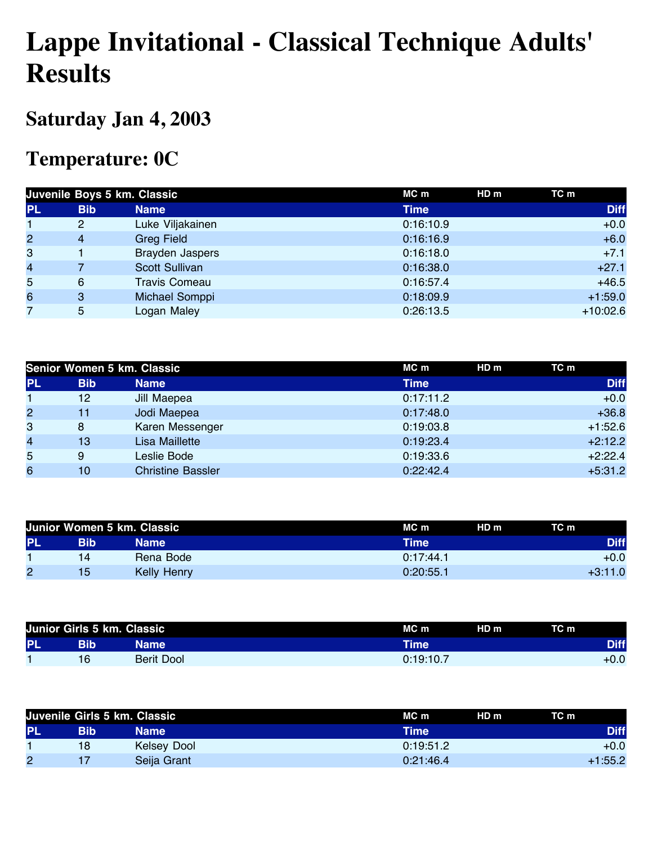## **Lappe Invitational - Classical Technique Adults' Results**

## **Saturday Jan 4, 2003**

## **Temperature: 0C**

|                |            | Juvenile Boys 5 km. Classic | MC m        | HD <sub>m</sub><br>TC m |
|----------------|------------|-----------------------------|-------------|-------------------------|
| <b>PL</b>      | <b>Bib</b> | <b>Name</b>                 | <b>Time</b> | <b>Diff</b>             |
|                | 2          | Luke Viljakainen            | 0:16:10.9   | $+0.0$                  |
| $\overline{2}$ | 4          | <b>Greg Field</b>           | 0:16:16.9   | $+6.0$                  |
| 3              |            | Brayden Jaspers             | 0:16:18.0   | $+7.1$                  |
| $\overline{4}$ |            | <b>Scott Sullivan</b>       | 0:16:38.0   | $+27.1$                 |
| 5              | 6          | <b>Travis Comeau</b>        | 0:16:57.4   | $+46.5$                 |
| 6              | 3          | Michael Somppi              | 0:18:09.9   | $+1:59.0$               |
| 7              | 5          | Logan Maley                 | 0:26:13.5   | $+10:02.6$              |

|                |            | Senior Women 5 km. Classic | MC m      | TC m<br>HDm |
|----------------|------------|----------------------------|-----------|-------------|
| <b>PL</b>      | <b>Bib</b> | <b>Name</b>                | Time      | <b>Diff</b> |
|                | 12         | Jill Maepea                | 0:17:11.2 | $+0.0$      |
| $\overline{2}$ | 11         | Jodi Maepea                | 0:17:48.0 | $+36.8$     |
| 3              | 8          | Karen Messenger            | 0:19:03.8 | $+1:52.6$   |
| $\overline{4}$ | 13         | <b>Lisa Maillette</b>      | 0:19:23.4 | $+2:12.2$   |
| 5              | 9          | Leslie Bode                | 0:19:33.6 | $+2:22.4$   |
| 6              | 10         | <b>Christine Bassler</b>   | 0:22:42.4 | $+5:31.2$   |

|           |     | Junior Women 5 km. Classic | HD <sub>m</sub><br>MC m | TC m        |
|-----------|-----|----------------------------|-------------------------|-------------|
| <b>PL</b> | Bib | Name                       | Time                    | <b>Diff</b> |
|           | 14  | Rena Bode                  | 0:17:44.1               | $+0.0$      |
| 2         | 15  | <b>Kelly Henry</b>         | 0:20:55.1               | $+3:11.0$   |

|           |     | Junior Girls 5 km. Classic | HD <sub>m</sub><br>$MC$ m | TC m        |
|-----------|-----|----------------------------|---------------------------|-------------|
| <b>PL</b> | Bib | Name                       | Time'                     | <b>Diff</b> |
|           |     | Berit Dool                 | 0:19:10.7                 | $+0.0$      |

|           | Juvenile Girls 5 km. Classic |                    | $MC$ m    | HD <sub>m</sub> | TC m        |
|-----------|------------------------------|--------------------|-----------|-----------------|-------------|
| <b>PL</b> | Bib                          | Name               | Time      |                 | <b>Diff</b> |
|           | 18                           | <b>Kelsey Dool</b> | 0:19:51.2 |                 | $+0.0$      |
| 2         |                              | Seija Grant        | 0:21:46.4 |                 | $+1:55.2$   |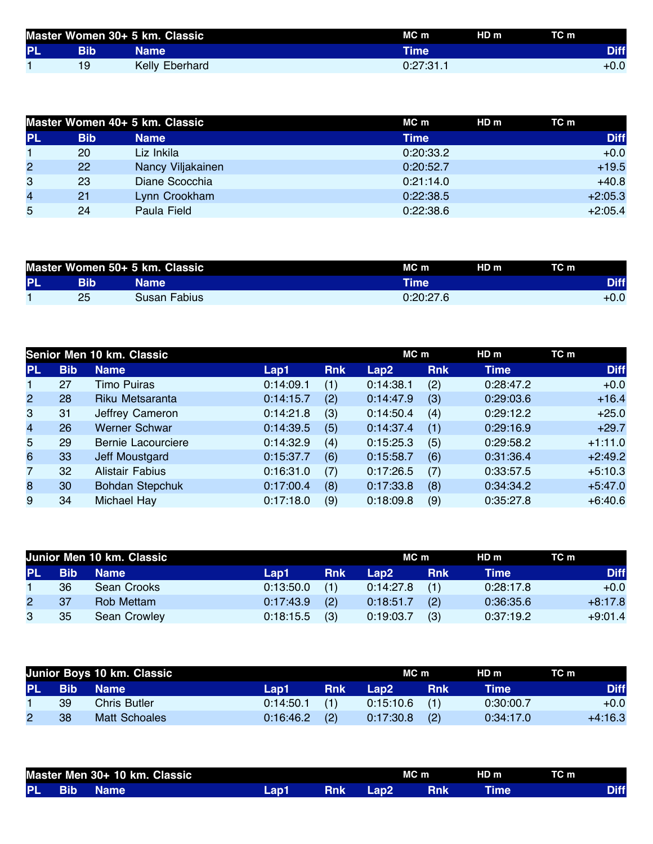|           | Master Women 30+ 5 km. Classic |                | $MC$ m        | HD <sub>m</sub> | TC m        |
|-----------|--------------------------------|----------------|---------------|-----------------|-------------|
| <b>PL</b> | Bib                            | <b>Name</b>    | <b>Time</b> ' |                 | <b>Diff</b> |
|           | 19                             | Kelly Eberhard | 0:27:31.1     |                 | +0.0        |

|                |            | Master Women 40+ 5 km. Classic | $MC$ m      | HD m<br>TC m |
|----------------|------------|--------------------------------|-------------|--------------|
| <b>PL</b>      | <b>Bib</b> | <b>Name</b>                    | <b>Time</b> | <b>Diff</b>  |
|                | 20         | Liz Inkila                     | 0:20:33.2   | $+0.0$       |
| $\overline{c}$ | 22         | Nancy Viljakainen              | 0:20:52.7   | $+19.5$      |
| 3              | 23         | Diane Scocchia                 | 0:21:14.0   | $+40.8$      |
| 4              | 21         | Lynn Crookham                  | 0:22:38.5   | $+2:05.3$    |
| 5              | 24         | Paula Field                    | 0:22:38.6   | $+2:05.4$    |

| Master Women 50+ 5 km. Classic<br>TC m<br>HD <sub>m</sub><br>MC m |             |
|-------------------------------------------------------------------|-------------|
| PL<br>Bib<br>Time'<br>Name                                        | <b>Diff</b> |
| 25<br>0:20:27.6<br>Susan Fabius                                   | $+0.0$      |

|                         |            | Senior Men 10 km. Classic |           |            | MC m      |            | HD m        | TC m        |
|-------------------------|------------|---------------------------|-----------|------------|-----------|------------|-------------|-------------|
| <b>PL</b>               | <b>Bib</b> | <b>Name</b>               | Lap1      | <b>Rnk</b> | Lap2      | <b>Rnk</b> | <b>Time</b> | <b>Diff</b> |
| 1.                      | 27         | <b>Timo Puiras</b>        | 0:14:09.1 | (1)        | 0:14:38.1 | (2)        | 0:28:47.2   | $+0.0$      |
| $\overline{2}$          | 28         | Riku Metsaranta           | 0:14:15.7 | (2)        | 0:14:47.9 | (3)        | 0:29:03.6   | $+16.4$     |
| 3                       | 31         | Jeffrey Cameron           | 0:14:21.8 | (3)        | 0:14:50.4 | (4)        | 0:29:12.2   | $+25.0$     |
| $\overline{\mathbf{4}}$ | 26         | <b>Werner Schwar</b>      | 0:14:39.5 | (5)        | 0:14:37.4 | (1)        | 0:29:16.9   | $+29.7$     |
| 5                       | 29         | Bernie Lacourciere        | 0:14:32.9 | (4)        | 0:15:25.3 | (5)        | 0:29:58.2   | $+1:11.0$   |
| 6                       | 33         | Jeff Moustgard            | 0:15:37.7 | (6)        | 0:15:58.7 | (6)        | 0:31:36.4   | $+2:49.2$   |
| $\overline{7}$          | 32         | <b>Alistair Fabius</b>    | 0:16:31.0 | (7)        | 0:17:26.5 | (7)        | 0:33:57.5   | $+5:10.3$   |
| 8                       | 30         | <b>Bohdan Stepchuk</b>    | 0:17:00.4 | (8)        | 0:17:33.8 | (8)        | 0:34:34.2   | $+5:47.0$   |
| 9                       | 34         | Michael Hay               | 0:17:18.0 | (9)        | 0:18:09.8 | (9)        | 0:35:27.8   | $+6:40.6$   |

|              | Junior Men 10 km. Classic |              |           |            |           |            | HD m      | TC m        |
|--------------|---------------------------|--------------|-----------|------------|-----------|------------|-----------|-------------|
| <b>PL</b>    | <b>Bib</b>                | <b>Name</b>  | Lap1      | <b>Rnk</b> | Lap2      | <b>Rnk</b> | Time      | <b>Diff</b> |
|              | 36                        | Sean Crooks  | 0:13:50.0 | (1)        | 0:14:27.8 | (1)        | 0:28:17.8 | $+0.0$      |
| $\mathbf{2}$ | 37                        | Rob Mettam   | 0:17:43.9 | (2)        | 0:18:51.7 | (2)        | 0:36:35.6 | $+8:17.8$   |
| 3            | 35                        | Sean Crowley | 0:18:15.5 | (3)        | 0:19:03.7 | (3)        | 0:37:19.2 | $+9:01.4$   |

|        |    | Junior Boys 10 km. Classic |           |            | MC m            |            | HD m      | TC m        |
|--------|----|----------------------------|-----------|------------|-----------------|------------|-----------|-------------|
| PL Bib |    | <b>Name</b>                | Lap1      | <b>Rnk</b> | Lap2            | <b>Rnk</b> | Time      | <b>Diff</b> |
|        | 39 | <b>Chris Butler</b>        | 0:14:50.1 | (1)        | $0:15:10.6$ (1) |            | 0:30:00.7 | $+0.0$      |
|        | 38 | Matt Schoales              | 0:16:46.2 | (2)        | 0:17:30.8       | (2)        | 0:34:17.0 | $+4:16.3$   |

| Master Men 30+ 10 km. Classic |      |             |      |     | MC <sub>m</sub> |  |             |  |
|-------------------------------|------|-------------|------|-----|-----------------|--|-------------|--|
| <b>PL</b>                     | IBib | <b>Name</b> | Lap1 | Rnk | Lap2            |  | <b>Time</b> |  |